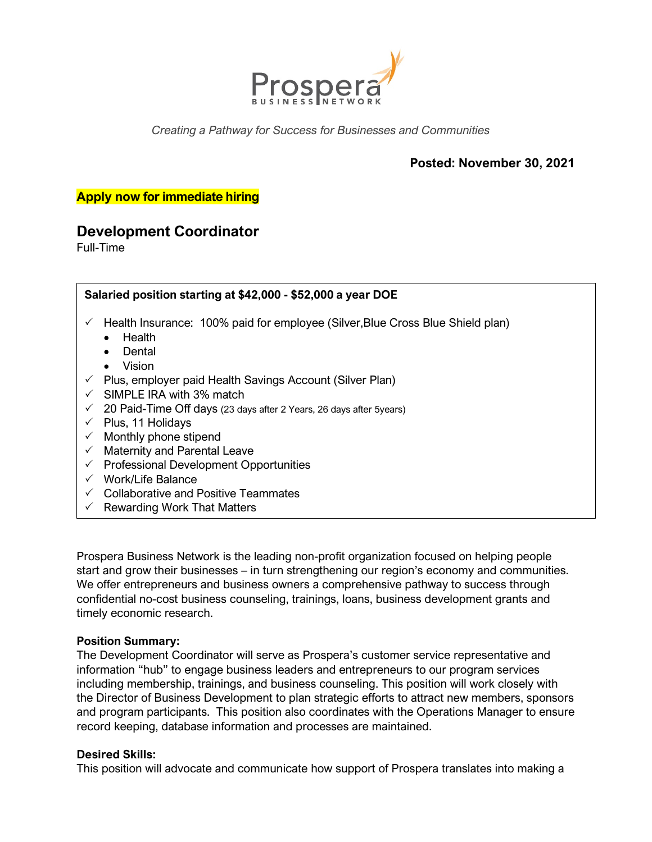

*Creating a Pathway for Success for Businesses and Communities*

#### **Posted: November 30, 2021**

#### **Apply now for immediate hiring**

# **Development Coordinator**

Full-Time

#### **Salaried position starting at \$42,000 - \$52,000 a year DOE**

- $\checkmark$  Health Insurance: 100% paid for employee (Silver, Blue Cross Blue Shield plan)
	- Health
	- Dental
	- Vision
- $\checkmark$  Plus, employer paid Health Savings Account (Silver Plan)
- $\checkmark$  SIMPLE IRA with 3% match
- $\checkmark$  20 Paid-Time Off days (23 days after 2 Years, 26 days after 5years)
- $\checkmark$  Plus, 11 Holidays
- $\checkmark$  Monthly phone stipend
- $\checkmark$  Maternity and Parental Leave
- $\checkmark$  Professional Development Opportunities
- $\checkmark$  Work/Life Balance
- $\checkmark$  Collaborative and Positive Teammates
- $\checkmark$  Rewarding Work That Matters

Prospera Business Network is the leading non-profit organization focused on helping people start and grow their businesses – in turn strengthening our region's economy and communities. We offer entrepreneurs and business owners a comprehensive pathway to success through confidential no-cost business counseling, trainings, loans, business development grants and timely economic research.

#### **Position Summary:**

The Development Coordinator will serve as Prospera's customer service representative and information "hub" to engage business leaders and entrepreneurs to our program services including membership, trainings, and business counseling. This position will work closely with the Director of Business Development to plan strategic efforts to attract new members, sponsors and program participants. This position also coordinates with the Operations Manager to ensure record keeping, database information and processes are maintained.

#### **Desired Skills:**

This position will advocate and communicate how support of Prospera translates into making a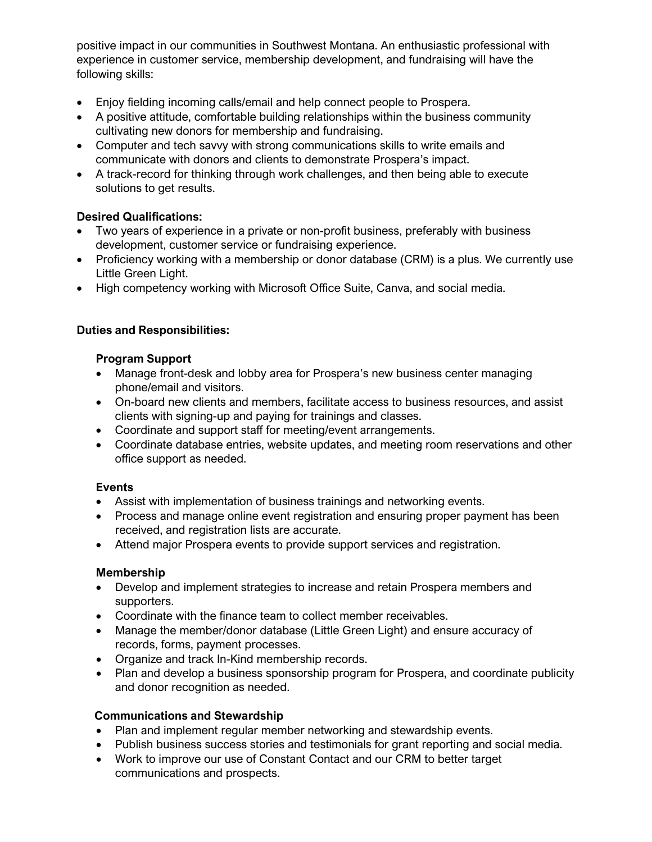positive impact in our communities in Southwest Montana. An enthusiastic professional with experience in customer service, membership development, and fundraising will have the following skills:

- Enjoy fielding incoming calls/email and help connect people to Prospera.
- A positive attitude, comfortable building relationships within the business community cultivating new donors for membership and fundraising.
- Computer and tech savvy with strong communications skills to write emails and communicate with donors and clients to demonstrate Prospera's impact.
- A track-record for thinking through work challenges, and then being able to execute solutions to get results.

# **Desired Qualifications:**

- Two years of experience in a private or non-profit business, preferably with business development, customer service or fundraising experience.
- Proficiency working with a membership or donor database (CRM) is a plus. We currently use Little Green Light.
- High competency working with Microsoft Office Suite, Canva, and social media.

## **Duties and Responsibilities:**

## **Program Support**

- Manage front-desk and lobby area for Prospera's new business center managing phone/email and visitors.
- On-board new clients and members, facilitate access to business resources, and assist clients with signing-up and paying for trainings and classes.
- Coordinate and support staff for meeting/event arrangements.
- Coordinate database entries, website updates, and meeting room reservations and other office support as needed.

## **Events**

- Assist with implementation of business trainings and networking events.
- Process and manage online event registration and ensuring proper payment has been received, and registration lists are accurate.
- Attend major Prospera events to provide support services and registration.

## **Membership**

- Develop and implement strategies to increase and retain Prospera members and supporters.
- Coordinate with the finance team to collect member receivables.
- Manage the member/donor database (Little Green Light) and ensure accuracy of records, forms, payment processes.
- Organize and track In-Kind membership records.
- Plan and develop a business sponsorship program for Prospera, and coordinate publicity and donor recognition as needed.

## **Communications and Stewardship**

- Plan and implement regular member networking and stewardship events.
- Publish business success stories and testimonials for grant reporting and social media.
- Work to improve our use of Constant Contact and our CRM to better target communications and prospects.